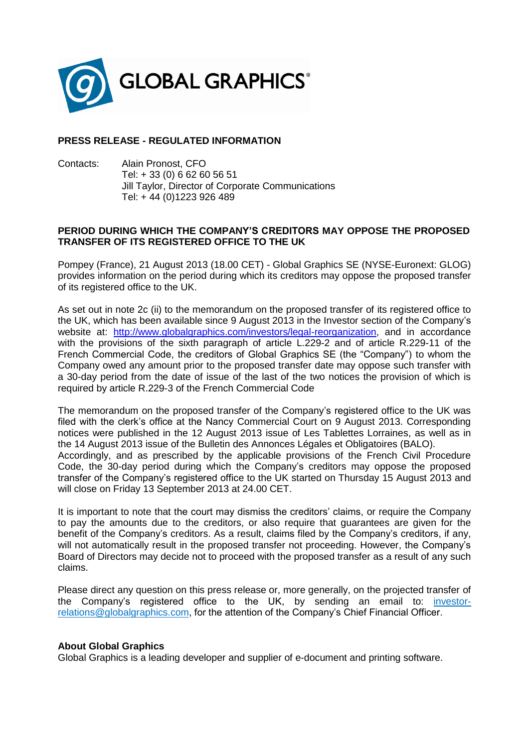

## **PRESS RELEASE - REGULATED INFORMATION**

Contacts: Alain Pronost, CFO Tel: + 33 (0) 6 62 60 56 51 Jill Taylor, Director of Corporate Communications Tel: + 44 (0)1223 926 489

## **PERIOD DURING WHICH THE COMPANY'S CREDITORS MAY OPPOSE THE PROPOSED TRANSFER OF ITS REGISTERED OFFICE TO THE UK**

Pompey (France), 21 August 2013 (18.00 CET) - Global Graphics SE (NYSE-Euronext: GLOG) provides information on the period during which its creditors may oppose the proposed transfer of its registered office to the UK.

As set out in note 2c (ii) to the memorandum on the proposed transfer of its registered office to the UK, which has been available since 9 August 2013 in the Investor section of the Company's website at: [http://www.globalgraphics.com/investors/legal-reorganization,](http://www.globalgraphics.com/investors/legal-reorganization) and in accordance with the provisions of the sixth paragraph of article L.229-2 and of article R.229-11 of the French Commercial Code, the creditors of Global Graphics SE (the "Company") to whom the Company owed any amount prior to the proposed transfer date may oppose such transfer with a 30-day period from the date of issue of the last of the two notices the provision of which is required by article R.229-3 of the French Commercial Code

The memorandum on the proposed transfer of the Company's registered office to the UK was filed with the clerk's office at the Nancy Commercial Court on 9 August 2013. Corresponding notices were published in the 12 August 2013 issue of Les Tablettes Lorraines, as well as in the 14 August 2013 issue of the Bulletin des Annonces Légales et Obligatoires (BALO). Accordingly, and as prescribed by the applicable provisions of the French Civil Procedure Code, the 30-day period during which the Company's creditors may oppose the proposed transfer of the Company's registered office to the UK started on Thursday 15 August 2013 and will close on Friday 13 September 2013 at 24.00 CET.

It is important to note that the court may dismiss the creditors' claims, or require the Company to pay the amounts due to the creditors, or also require that guarantees are given for the benefit of the Company's creditors. As a result, claims filed by the Company's creditors, if any, will not automatically result in the proposed transfer not proceeding. However, the Company's Board of Directors may decide not to proceed with the proposed transfer as a result of any such claims.

Please direct any question on this press release or, more generally, on the projected transfer of the Company's registered office to the UK, by sending an email to: [investor](mailto:investor-relations@globalgraphics.com)[relations@globalgraphics.com,](mailto:investor-relations@globalgraphics.com) for the attention of the Company's Chief Financial Officer.

## **About Global Graphics**

Global Graphics is a leading developer and supplier of e-document and printing software.